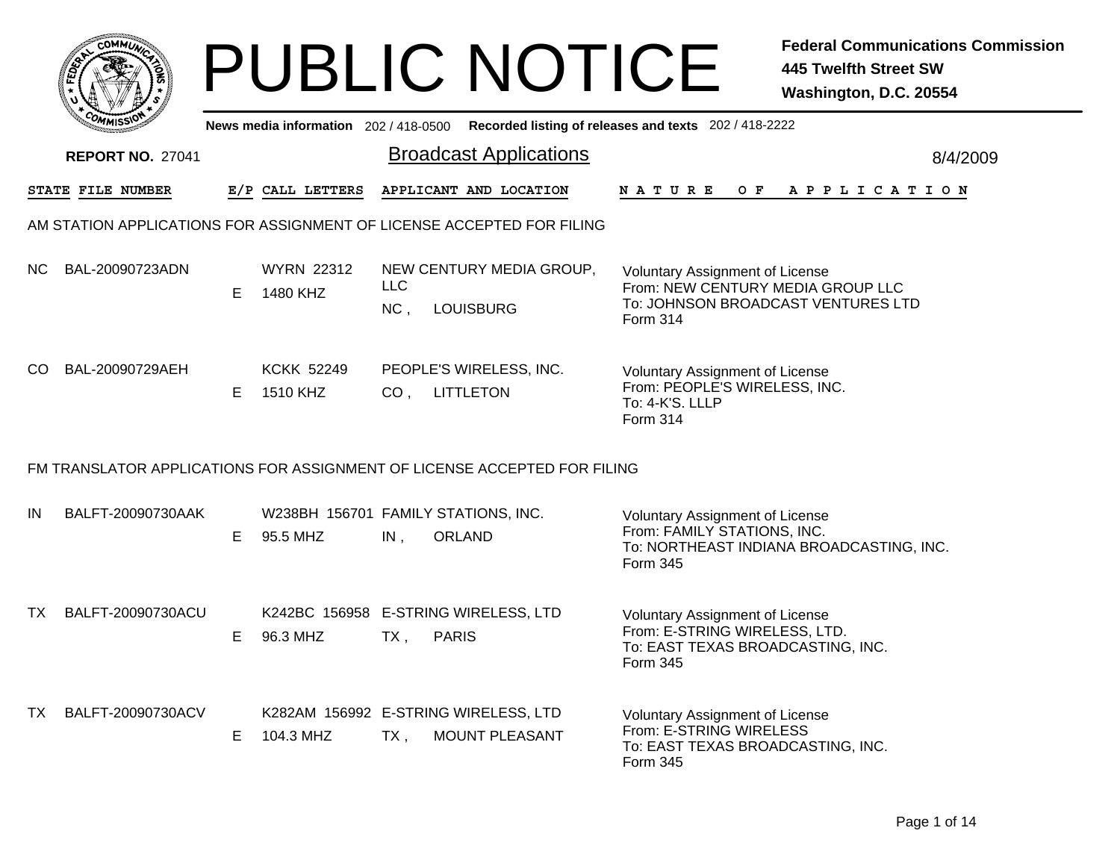|     |                          |    |                                                 |                   | <b>PUBLIC NOTICE</b>                                                     |                                                                                                                          | <b>Federal Communications Commission</b><br>445 Twelfth Street SW<br>Washington, D.C. 20554 |
|-----|--------------------------|----|-------------------------------------------------|-------------------|--------------------------------------------------------------------------|--------------------------------------------------------------------------------------------------------------------------|---------------------------------------------------------------------------------------------|
|     |                          |    | News media information 202 / 418-0500           |                   |                                                                          | Recorded listing of releases and texts 202 / 418-2222                                                                    |                                                                                             |
|     | <b>REPORT NO. 27041</b>  |    |                                                 |                   | <b>Broadcast Applications</b>                                            |                                                                                                                          | 8/4/2009                                                                                    |
|     | <b>STATE FILE NUMBER</b> |    | E/P CALL LETTERS                                |                   | APPLICANT AND LOCATION                                                   | N A T U R E                                                                                                              | OF APPLICATION                                                                              |
|     |                          |    |                                                 |                   | AM STATION APPLICATIONS FOR ASSIGNMENT OF LICENSE ACCEPTED FOR FILING    |                                                                                                                          |                                                                                             |
| NC. | BAL-20090723ADN          | E. | <b>WYRN 22312</b><br>1480 KHZ                   | <b>LLC</b><br>NC, | NEW CENTURY MEDIA GROUP,<br><b>LOUISBURG</b>                             | Voluntary Assignment of License<br>From: NEW CENTURY MEDIA GROUP LLC<br>To: JOHNSON BROADCAST VENTURES LTD<br>Form 314   |                                                                                             |
|     | CO BAL-20090729AEH       | E. | <b>KCKK 52249</b><br>1510 KHZ                   |                   | PEOPLE'S WIRELESS, INC.<br>CO, LITTLETON                                 | <b>Voluntary Assignment of License</b><br>From: PEOPLE'S WIRELESS, INC.<br>To: 4-K'S. LLLP<br><b>Form 314</b>            |                                                                                             |
|     |                          |    |                                                 |                   | FM TRANSLATOR APPLICATIONS FOR ASSIGNMENT OF LICENSE ACCEPTED FOR FILING |                                                                                                                          |                                                                                             |
| IN  | BALFT-20090730AAK        | E. | W238BH 156701 FAMILY STATIONS, INC.<br>95.5 MHZ | IN,               | ORLAND                                                                   | Voluntary Assignment of License<br>From: FAMILY STATIONS, INC.<br>Form 345                                               | To: NORTHEAST INDIANA BROADCASTING, INC.                                                    |
| TX. | BALFT-20090730ACU        | E. | 96.3 MHZ                                        | TX,               | K242BC 156958 E-STRING WIRELESS, LTD<br><b>PARIS</b>                     | <b>Voluntary Assignment of License</b><br>From: E-STRING WIRELESS, LTD.<br>To: EAST TEXAS BROADCASTING, INC.<br>Form 345 |                                                                                             |
| TX  | BALFT-20090730ACV        | Е. | 104.3 MHZ                                       | TX,               | K282AM 156992 E-STRING WIRELESS, LTD<br><b>MOUNT PLEASANT</b>            | Voluntary Assignment of License<br>From: E-STRING WIRELESS<br>To: EAST TEXAS BROADCASTING, INC.<br>Form 345              |                                                                                             |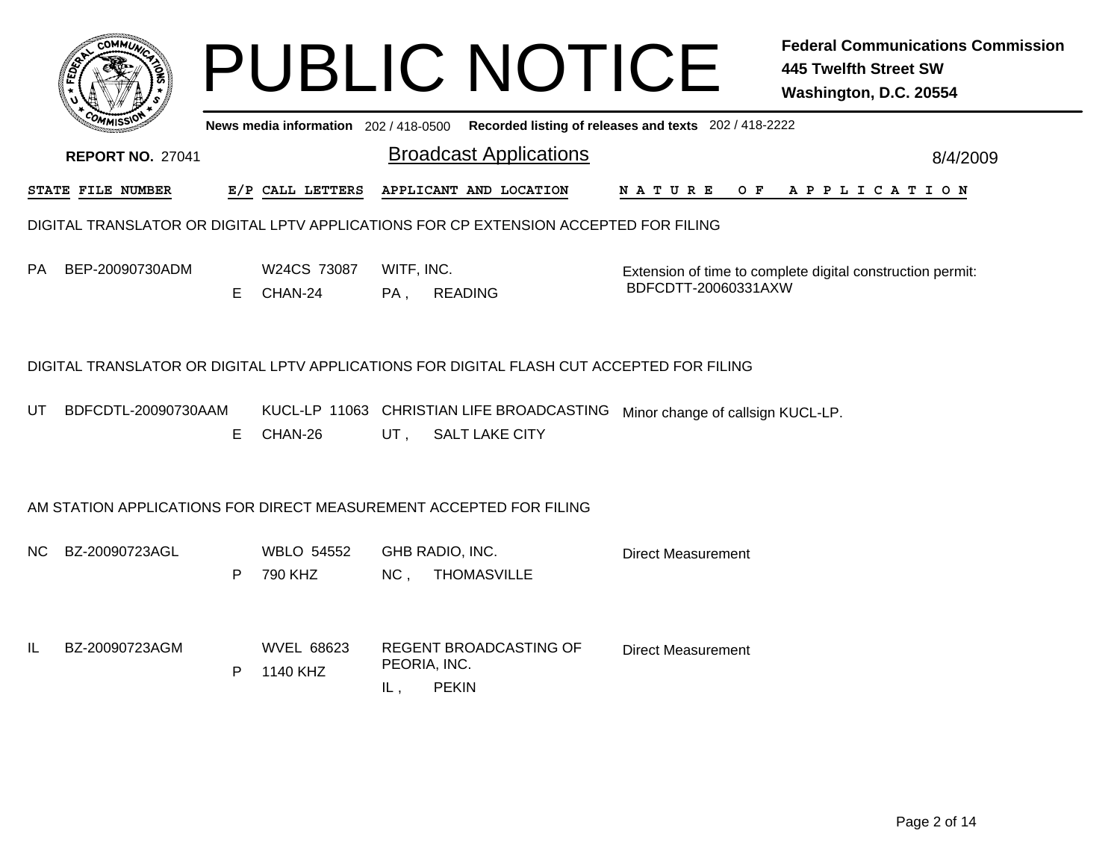|     |                          |    |                                       |                   | <b>PUBLIC NOTICE</b>                                                                      |                                                       | <b>Federal Communications Commission</b><br><b>445 Twelfth Street SW</b><br>Washington, D.C. 20554 |
|-----|--------------------------|----|---------------------------------------|-------------------|-------------------------------------------------------------------------------------------|-------------------------------------------------------|----------------------------------------------------------------------------------------------------|
|     |                          |    | News media information 202 / 418-0500 |                   |                                                                                           | Recorded listing of releases and texts 202 / 418-2222 |                                                                                                    |
|     | <b>REPORT NO. 27041</b>  |    |                                       |                   | <b>Broadcast Applications</b>                                                             |                                                       | 8/4/2009                                                                                           |
|     | <b>STATE FILE NUMBER</b> |    | E/P CALL LETTERS                      |                   | APPLICANT AND LOCATION                                                                    |                                                       | NATURE OF APPLICATION                                                                              |
|     |                          |    |                                       |                   | DIGITAL TRANSLATOR OR DIGITAL LPTV APPLICATIONS FOR CP EXTENSION ACCEPTED FOR FILING      |                                                       |                                                                                                    |
| PA  | BEP-20090730ADM          | E. | W24CS 73087<br>CHAN-24                | WITF, INC.<br>PA, | <b>READING</b>                                                                            | BDFCDTT-20060331AXW                                   | Extension of time to complete digital construction permit:                                         |
|     |                          |    |                                       |                   | DIGITAL TRANSLATOR OR DIGITAL LPTV APPLICATIONS FOR DIGITAL FLASH CUT ACCEPTED FOR FILING |                                                       |                                                                                                    |
| UT  | BDFCDTL-20090730AAM      | E. | CHAN-26                               | UT ,              | KUCL-LP 11063 CHRISTIAN LIFE BROADCASTING<br><b>SALT LAKE CITY</b>                        | Minor change of callsign KUCL-LP.                     |                                                                                                    |
|     |                          |    |                                       |                   | AM STATION APPLICATIONS FOR DIRECT MEASUREMENT ACCEPTED FOR FILING                        |                                                       |                                                                                                    |
| NC. | BZ-20090723AGL           | P. | <b>WBLO 54552</b><br>790 KHZ          | NC,               | GHB RADIO, INC.<br><b>THOMASVILLE</b>                                                     | <b>Direct Measurement</b>                             |                                                                                                    |
| IL. | BZ-20090723AGM           | P. | <b>WVEL 68623</b><br>1140 KHZ         | IL,               | REGENT BROADCASTING OF<br>PEORIA, INC.<br><b>PEKIN</b>                                    | <b>Direct Measurement</b>                             |                                                                                                    |
|     |                          |    |                                       |                   |                                                                                           |                                                       |                                                                                                    |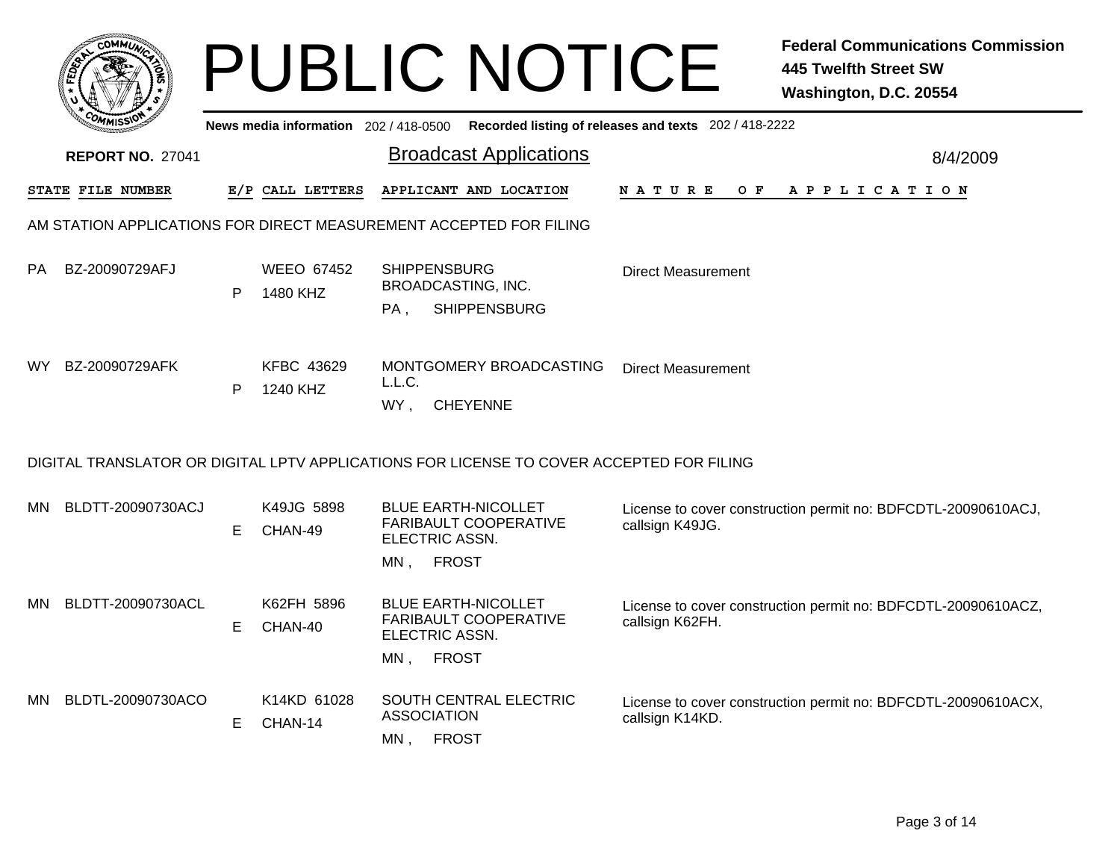|     | <b>COMMUT</b>                                                      |   |                                       | <b>PUBLIC NOTICE</b>                                                                            |                                                       | <b>Federal Communications Commission</b><br><b>445 Twelfth Street SW</b><br>Washington, D.C. 20554 |  |  |  |  |  |
|-----|--------------------------------------------------------------------|---|---------------------------------------|-------------------------------------------------------------------------------------------------|-------------------------------------------------------|----------------------------------------------------------------------------------------------------|--|--|--|--|--|
|     |                                                                    |   | News media information 202 / 418-0500 |                                                                                                 | Recorded listing of releases and texts 202 / 418-2222 |                                                                                                    |  |  |  |  |  |
|     | <b>REPORT NO. 27041</b>                                            |   |                                       | <b>Broadcast Applications</b>                                                                   |                                                       | 8/4/2009                                                                                           |  |  |  |  |  |
|     | STATE FILE NUMBER                                                  |   | E/P CALL LETTERS                      | APPLICANT AND LOCATION                                                                          | N A T U R E                                           | OF APPLICATION                                                                                     |  |  |  |  |  |
|     | AM STATION APPLICATIONS FOR DIRECT MEASUREMENT ACCEPTED FOR FILING |   |                                       |                                                                                                 |                                                       |                                                                                                    |  |  |  |  |  |
| PA. | BZ-20090729AFJ                                                     | P | <b>WEEO 67452</b><br>1480 KHZ         | <b>SHIPPENSBURG</b><br>BROADCASTING, INC.<br><b>SHIPPENSBURG</b><br>PA.                         | <b>Direct Measurement</b>                             |                                                                                                    |  |  |  |  |  |
| WY. | BZ-20090729AFK                                                     | P | <b>KFBC 43629</b><br>1240 KHZ         | MONTGOMERY BROADCASTING<br>L.L.C.<br>WY,<br><b>CHEYENNE</b>                                     | Direct Measurement                                    |                                                                                                    |  |  |  |  |  |
|     |                                                                    |   |                                       | DIGITAL TRANSLATOR OR DIGITAL LPTV APPLICATIONS FOR LICENSE TO COVER ACCEPTED FOR FILING        |                                                       |                                                                                                    |  |  |  |  |  |
| MN. | BLDTT-20090730ACJ                                                  | E | K49JG 5898<br>CHAN-49                 | <b>BLUE EARTH-NICOLLET</b><br>FARIBAULT COOPERATIVE<br>ELECTRIC ASSN.<br><b>FROST</b><br>$MN$ , | callsign K49JG.                                       | License to cover construction permit no: BDFCDTL-20090610ACJ,                                      |  |  |  |  |  |
| MN. | BLDTT-20090730ACL                                                  | E | K62FH 5896<br>CHAN-40                 | <b>BLUE EARTH-NICOLLET</b><br>FARIBAULT COOPERATIVE<br>ELECTRIC ASSN.<br><b>FROST</b><br>MN,    | callsign K62FH.                                       | License to cover construction permit no: BDFCDTL-20090610ACZ,                                      |  |  |  |  |  |
| MN. | BLDTL-20090730ACO                                                  | Е | K14KD 61028<br>CHAN-14                | SOUTH CENTRAL ELECTRIC<br><b>ASSOCIATION</b><br><b>FROST</b><br>MN,                             | callsign K14KD.                                       | License to cover construction permit no: BDFCDTL-20090610ACX,                                      |  |  |  |  |  |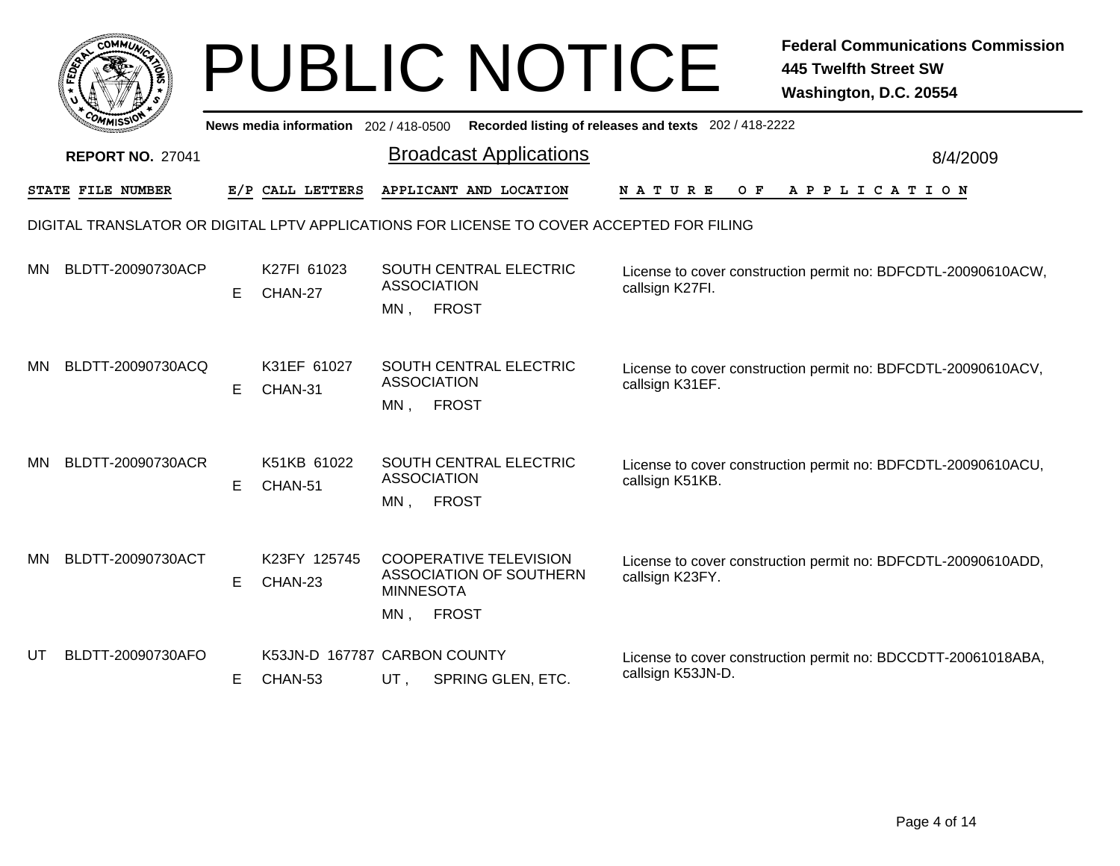|                                                                                          |                          |    |                                         |                              | <b>PUBLIC NOTICE</b>                                                     |                                                       | <b>Federal Communications Commission</b><br><b>445 Twelfth Street SW</b><br>Washington, D.C. 20554 |  |  |  |
|------------------------------------------------------------------------------------------|--------------------------|----|-----------------------------------------|------------------------------|--------------------------------------------------------------------------|-------------------------------------------------------|----------------------------------------------------------------------------------------------------|--|--|--|
|                                                                                          |                          |    | News media information 202/418-0500     |                              |                                                                          | Recorded listing of releases and texts 202 / 418-2222 |                                                                                                    |  |  |  |
|                                                                                          | <b>REPORT NO. 27041</b>  |    |                                         |                              | <b>Broadcast Applications</b>                                            |                                                       | 8/4/2009                                                                                           |  |  |  |
|                                                                                          | <b>STATE FILE NUMBER</b> |    | E/P CALL LETTERS                        |                              | APPLICANT AND LOCATION                                                   | N A T U R E                                           | OF APPLICATION                                                                                     |  |  |  |
| DIGITAL TRANSLATOR OR DIGITAL LPTV APPLICATIONS FOR LICENSE TO COVER ACCEPTED FOR FILING |                          |    |                                         |                              |                                                                          |                                                       |                                                                                                    |  |  |  |
| МN                                                                                       | BLDTT-20090730ACP        | E. | K27FI 61023<br>CHAN-27                  | <b>ASSOCIATION</b><br>MN,    | SOUTH CENTRAL ELECTRIC<br><b>FROST</b>                                   | callsign K27FI.                                       | License to cover construction permit no: BDFCDTL-20090610ACW,                                      |  |  |  |
| MN.                                                                                      | BLDTT-20090730ACQ        | E. | K31EF 61027<br>CHAN-31                  | <b>ASSOCIATION</b><br>MN,    | <b>SOUTH CENTRAL ELECTRIC</b><br><b>FROST</b>                            | callsign K31EF.                                       | License to cover construction permit no: BDFCDTL-20090610ACV,                                      |  |  |  |
| MN.                                                                                      | BLDTT-20090730ACR        | E  | K51KB 61022<br>CHAN-51                  | <b>ASSOCIATION</b><br>$MN$ , | SOUTH CENTRAL ELECTRIC<br><b>FROST</b>                                   | callsign K51KB.                                       | License to cover construction permit no: BDFCDTL-20090610ACU,                                      |  |  |  |
| MN.                                                                                      | BLDTT-20090730ACT        | Е  | K23FY 125745<br>CHAN-23                 | <b>MINNESOTA</b><br>$MN$ ,   | <b>COOPERATIVE TELEVISION</b><br>ASSOCIATION OF SOUTHERN<br><b>FROST</b> | callsign K23FY.                                       | License to cover construction permit no: BDFCDTL-20090610ADD,                                      |  |  |  |
| UT                                                                                       | BLDTT-20090730AFO        | E. | K53JN-D 167787 CARBON COUNTY<br>CHAN-53 | UT,                          | SPRING GLEN, ETC.                                                        | callsign K53JN-D.                                     | License to cover construction permit no: BDCCDTT-20061018ABA,                                      |  |  |  |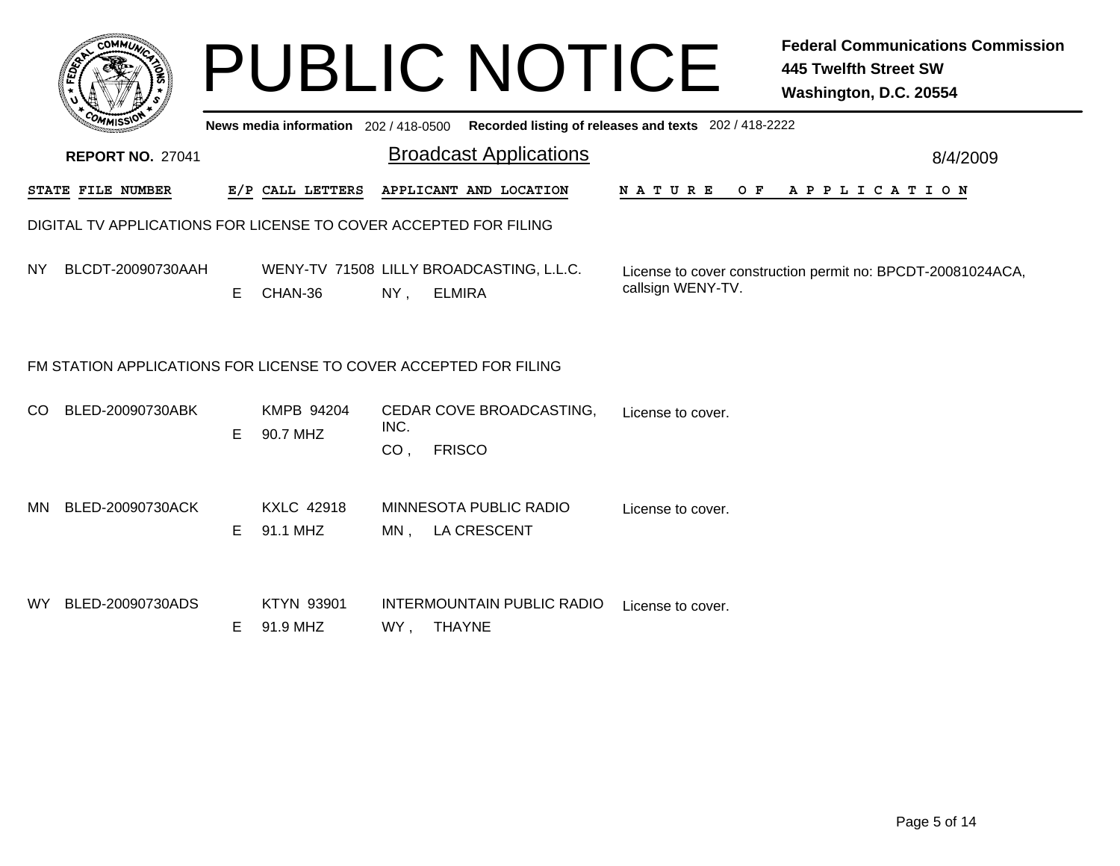|       | MMUNICT<br>c۵۱ |  |
|-------|----------------|--|
| FEDET |                |  |
|       |                |  |
|       | COMI<br>MISS   |  |

## PUBLIC NOTICE **Federal Communications Commission 445 Twelfth Street SW Washington, D.C. 20554**

|     | ַיכּבווְמִדִּי                                                   |    |                               |                                                                      |  | News media information 202/418-0500 Recorded listing of releases and texts 202/418-2222 |          |  |  |  |  |
|-----|------------------------------------------------------------------|----|-------------------------------|----------------------------------------------------------------------|--|-----------------------------------------------------------------------------------------|----------|--|--|--|--|
|     | <b>REPORT NO. 27041</b>                                          |    |                               | <b>Broadcast Applications</b>                                        |  |                                                                                         | 8/4/2009 |  |  |  |  |
|     | STATE FILE NUMBER                                                |    | E/P CALL LETTERS              | APPLICANT AND LOCATION                                               |  | N A T U R E<br>O F<br>A P P L I C A T I O N                                             |          |  |  |  |  |
|     | DIGITAL TV APPLICATIONS FOR LICENSE TO COVER ACCEPTED FOR FILING |    |                               |                                                                      |  |                                                                                         |          |  |  |  |  |
| NY. | BLCDT-20090730AAH                                                | E. | CHAN-36                       | WENY-TV 71508 LILLY BROADCASTING, L.L.C.<br><b>ELMIRA</b><br>$NY$ ,  |  | License to cover construction permit no: BPCDT-20081024ACA,<br>callsign WENY-TV.        |          |  |  |  |  |
|     | FM STATION APPLICATIONS FOR LICENSE TO COVER ACCEPTED FOR FILING |    |                               |                                                                      |  |                                                                                         |          |  |  |  |  |
| CO. | BLED-20090730ABK                                                 | E. | <b>KMPB 94204</b><br>90.7 MHZ | CEDAR COVE BROADCASTING,<br>INC.<br>CO <sub>1</sub><br><b>FRISCO</b> |  | License to cover.                                                                       |          |  |  |  |  |
| MN  | BLED-20090730ACK                                                 | Е  | <b>KXLC 42918</b><br>91.1 MHZ | MINNESOTA PUBLIC RADIO<br>LA CRESCENT<br>MN,                         |  | License to cover.                                                                       |          |  |  |  |  |
| WY. | BLED-20090730ADS                                                 | E. | KTYN 93901<br>91.9 MHZ        | <b>INTERMOUNTAIN PUBLIC RADIO</b><br><b>THAYNE</b><br>WY,            |  | License to cover.                                                                       |          |  |  |  |  |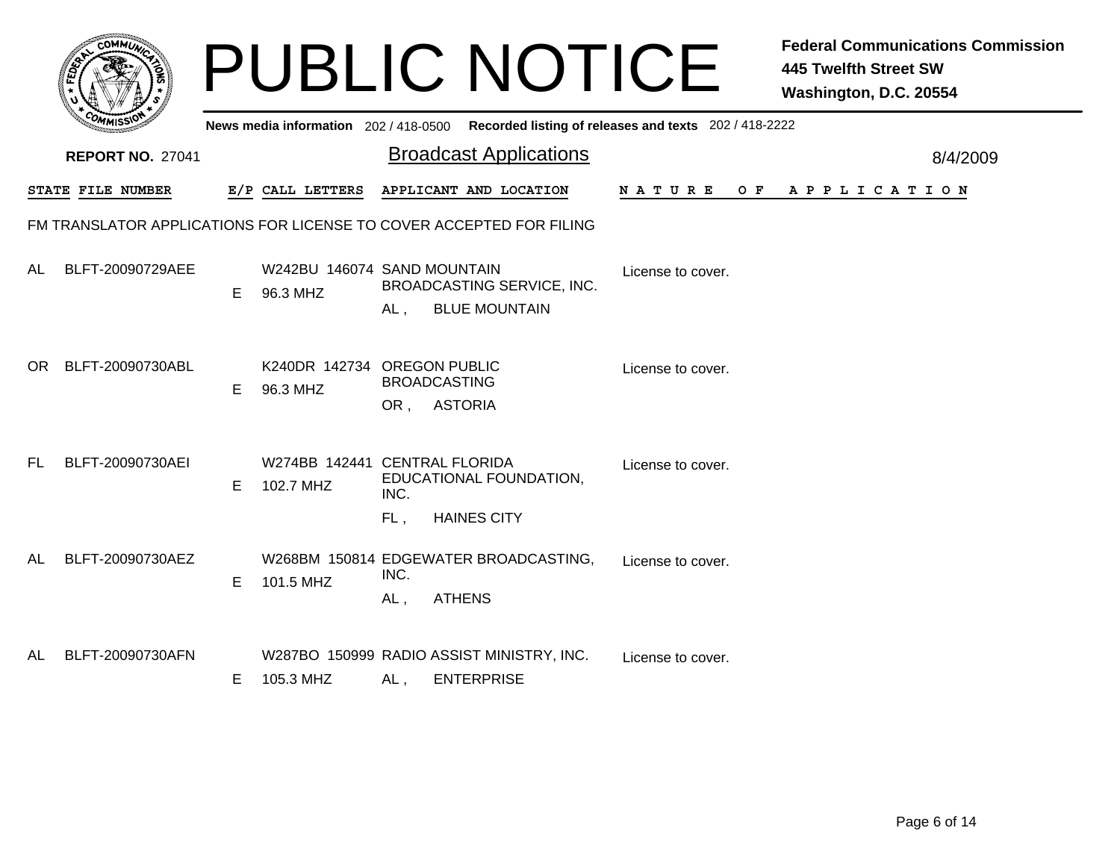|      |                         |    |                                            |                    | <b>PUBLIC NOTICE</b>                                                         |                                                       | <b>Federal Communications Commission</b><br><b>445 Twelfth Street SW</b><br>Washington, D.C. 20554 |
|------|-------------------------|----|--------------------------------------------|--------------------|------------------------------------------------------------------------------|-------------------------------------------------------|----------------------------------------------------------------------------------------------------|
|      |                         |    | News media information 202/418-0500        |                    |                                                                              | Recorded listing of releases and texts 202 / 418-2222 |                                                                                                    |
|      | <b>REPORT NO. 27041</b> |    |                                            |                    | <b>Broadcast Applications</b>                                                |                                                       | 8/4/2009                                                                                           |
|      | STATE FILE NUMBER       |    | E/P CALL LETTERS                           |                    | APPLICANT AND LOCATION                                                       | NATURE                                                | OF APPLICATION                                                                                     |
|      |                         |    |                                            |                    | FM TRANSLATOR APPLICATIONS FOR LICENSE TO COVER ACCEPTED FOR FILING          |                                                       |                                                                                                    |
| AL   | BLFT-20090729AEE        | E  | W242BU 146074 SAND MOUNTAIN<br>96.3 MHZ    |                    | BROADCASTING SERVICE, INC.                                                   | License to cover.                                     |                                                                                                    |
|      |                         |    |                                            | $AL$ .             | <b>BLUE MOUNTAIN</b>                                                         |                                                       |                                                                                                    |
| OR . | BLFT-20090730ABL        | E  | K240DR 142734 OREGON PUBLIC<br>96.3 MHZ    |                    | <b>BROADCASTING</b><br>OR, ASTORIA                                           | License to cover.                                     |                                                                                                    |
| FL   | BLFT-20090730AEI        | E. | W274BB 142441 CENTRAL FLORIDA<br>102.7 MHZ | INC.               | EDUCATIONAL FOUNDATION,                                                      | License to cover.                                     |                                                                                                    |
| AL   | BLFT-20090730AEZ        | E  | 101.5 MHZ                                  | FL.<br>INC.<br>AL, | <b>HAINES CITY</b><br>W268BM 150814 EDGEWATER BROADCASTING,<br><b>ATHENS</b> | License to cover.                                     |                                                                                                    |
| AL   | BLFT-20090730AFN        | E. | 105.3 MHZ                                  | AL,                | W287BO 150999 RADIO ASSIST MINISTRY, INC.<br><b>ENTERPRISE</b>               | License to cover.                                     |                                                                                                    |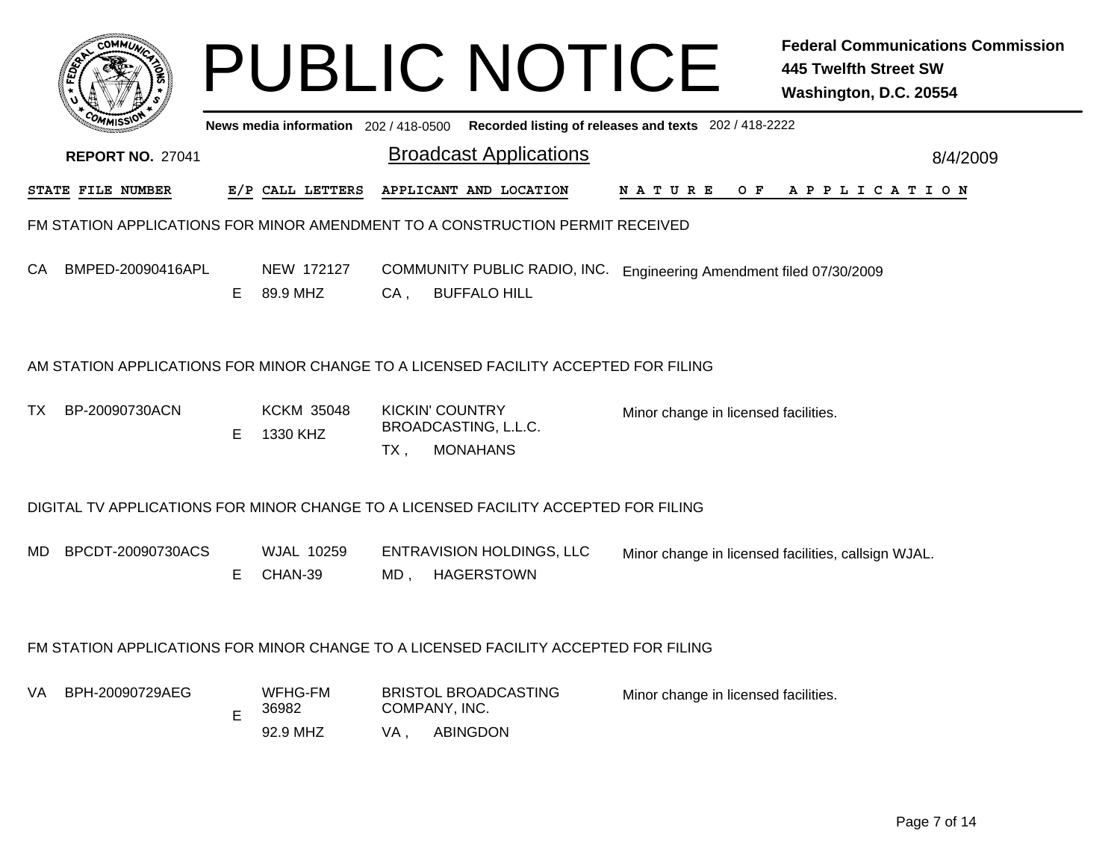|     |                         |    |                                     |               | <b>PUBLIC NOTICE</b>                                                                       |                                                       | <b>Federal Communications Commission</b><br><b>445 Twelfth Street SW</b><br>Washington, D.C. 20554 |
|-----|-------------------------|----|-------------------------------------|---------------|--------------------------------------------------------------------------------------------|-------------------------------------------------------|----------------------------------------------------------------------------------------------------|
|     |                         |    | News media information 202/418-0500 |               |                                                                                            | Recorded listing of releases and texts 202 / 418-2222 |                                                                                                    |
|     | <b>REPORT NO. 27041</b> |    |                                     |               | <b>Broadcast Applications</b>                                                              |                                                       | 8/4/2009                                                                                           |
|     | STATE FILE NUMBER       |    | E/P CALL LETTERS                    |               | APPLICANT AND LOCATION                                                                     | N A T U R E<br>$O$ $F$                                | A P P L I C A T I O N                                                                              |
|     |                         |    |                                     |               | FM STATION APPLICATIONS FOR MINOR AMENDMENT TO A CONSTRUCTION PERMIT RECEIVED              |                                                       |                                                                                                    |
| CA. | BMPED-20090416APL       | E. | NEW 172127<br>89.9 MHZ              | $CA$ ,        | COMMUNITY PUBLIC RADIO, INC. Engineering Amendment filed 07/30/2009<br><b>BUFFALO HILL</b> |                                                       |                                                                                                    |
|     |                         |    |                                     |               | AM STATION APPLICATIONS FOR MINOR CHANGE TO A LICENSED FACILITY ACCEPTED FOR FILING        |                                                       |                                                                                                    |
| TX. | BP-20090730ACN          | E. | <b>KCKM 35048</b><br>1330 KHZ       | TX .          | <b>KICKIN' COUNTRY</b><br>BROADCASTING, L.L.C.<br><b>MONAHANS</b>                          | Minor change in licensed facilities.                  |                                                                                                    |
|     |                         |    |                                     |               | DIGITAL TV APPLICATIONS FOR MINOR CHANGE TO A LICENSED FACILITY ACCEPTED FOR FILING        |                                                       |                                                                                                    |
| MD. | BPCDT-20090730ACS       | Е  | <b>WJAL 10259</b><br>CHAN-39        | MD,           | <b>ENTRAVISION HOLDINGS, LLC</b><br><b>HAGERSTOWN</b>                                      |                                                       | Minor change in licensed facilities, callsign WJAL.                                                |
|     |                         |    |                                     |               | FM STATION APPLICATIONS FOR MINOR CHANGE TO A LICENSED FACILITY ACCEPTED FOR FILING        |                                                       |                                                                                                    |
| VA. | BPH-20090729AEG         | E  | WFHG-FM<br>36982                    | COMPANY, INC. | <b>BRISTOL BROADCASTING</b>                                                                | Minor change in licensed facilities.                  |                                                                                                    |
|     |                         |    | 92.9 MHZ                            | VA ,          | ABINGDON                                                                                   |                                                       |                                                                                                    |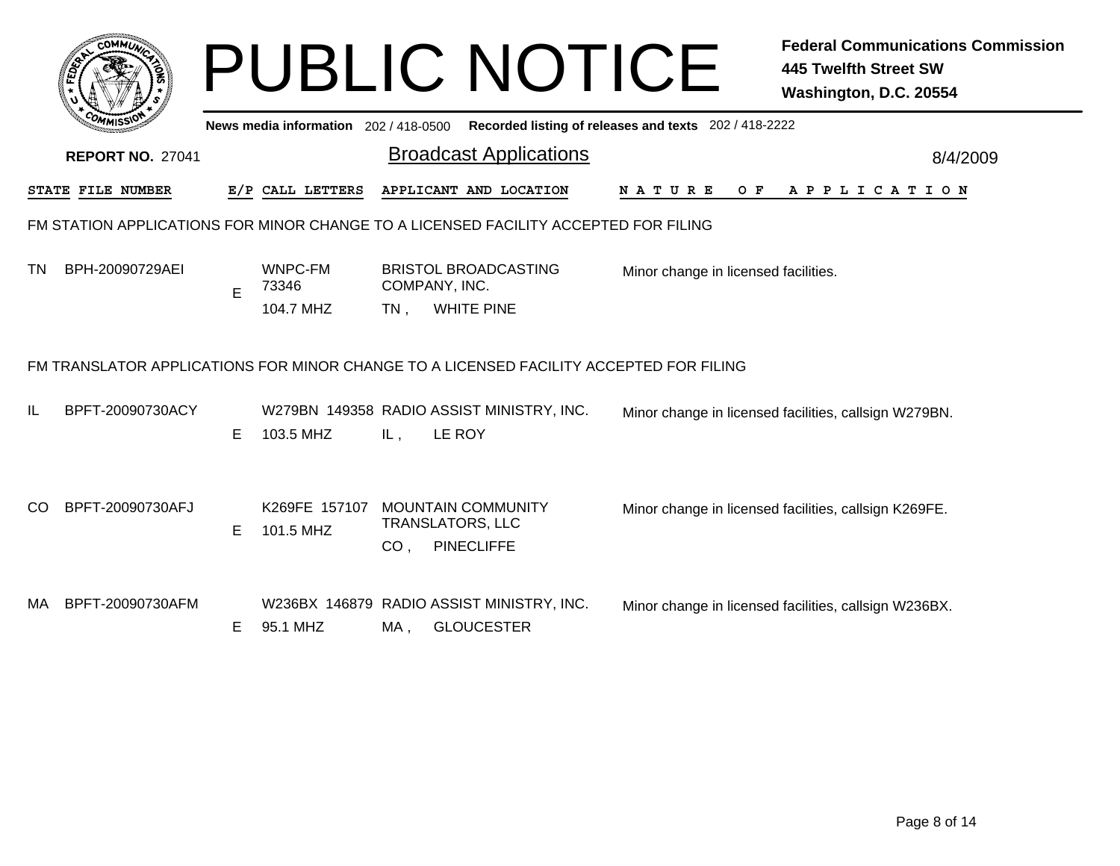| COMMUNIC                         |  |
|----------------------------------|--|
| <b>FEDET</b><br>r.               |  |
|                                  |  |
| $c_{O}$<br><b>MISS</b><br>$\sim$ |  |

## PUBLIC NOTICE **Federal Communications Commission 445 Twelfth Street SW Washington, D.C. 20554**

|     | <b>WAMISSION</b>        |    | News media information 202/418-0500  |                 |                                                                                        | Recorded listing of releases and texts 202 / 418-2222 |          |
|-----|-------------------------|----|--------------------------------------|-----------------|----------------------------------------------------------------------------------------|-------------------------------------------------------|----------|
|     | <b>REPORT NO. 27041</b> |    |                                      |                 | <b>Broadcast Applications</b>                                                          |                                                       | 8/4/2009 |
|     | STATE FILE NUMBER       |    | E/P CALL LETTERS                     |                 | APPLICANT AND LOCATION                                                                 | <b>NATURE</b><br>O F<br>A P P L I C A T I O N         |          |
|     |                         |    |                                      |                 | FM STATION APPLICATIONS FOR MINOR CHANGE TO A LICENSED FACILITY ACCEPTED FOR FILING    |                                                       |          |
| TN  | BPH-20090729AEI         | Е  | <b>WNPC-FM</b><br>73346<br>104.7 MHZ | TN ,            | <b>BRISTOL BROADCASTING</b><br>COMPANY, INC.<br><b>WHITE PINE</b>                      | Minor change in licensed facilities.                  |          |
|     |                         |    |                                      |                 | FM TRANSLATOR APPLICATIONS FOR MINOR CHANGE TO A LICENSED FACILITY ACCEPTED FOR FILING |                                                       |          |
| IL  | BPFT-20090730ACY        | Е  | 103.5 MHZ                            | IL,             | W279BN 149358 RADIO ASSIST MINISTRY, INC.<br>LE ROY                                    | Minor change in licensed facilities, callsign W279BN. |          |
| CO  | BPFT-20090730AFJ        | E. | K269FE 157107<br>101.5 MHZ           | CO <sub>1</sub> | <b>MOUNTAIN COMMUNITY</b><br><b>TRANSLATORS, LLC</b><br><b>PINECLIFFE</b>              | Minor change in licensed facilities, callsign K269FE. |          |
| MA. | BPFT-20090730AFM        | Е  | 95.1 MHZ                             | MA,             | W236BX 146879 RADIO ASSIST MINISTRY, INC.<br><b>GLOUCESTER</b>                         | Minor change in licensed facilities, callsign W236BX. |          |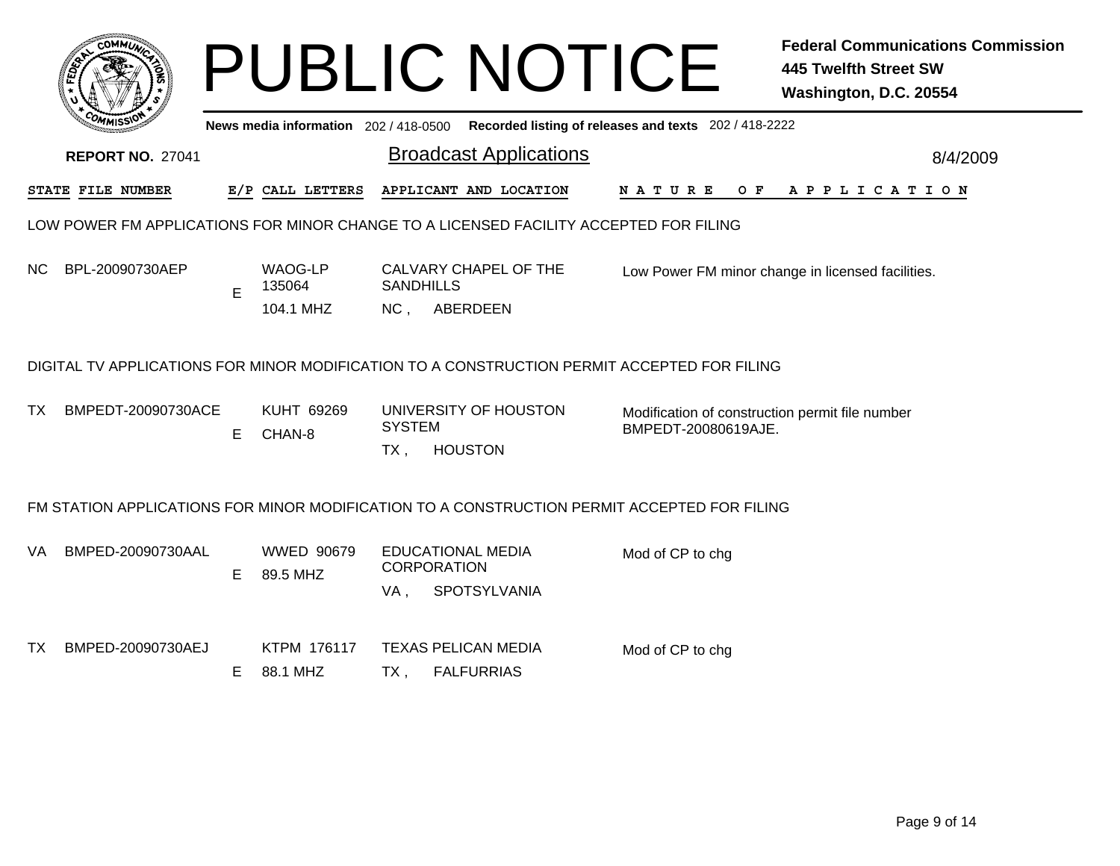|     | :OMM17                   |    |                                     |                         | <b>PUBLIC NOTICE</b>                                                                        |                                                                        | <b>Federal Communications Commission</b><br><b>445 Twelfth Street SW</b><br>Washington, D.C. 20554 |
|-----|--------------------------|----|-------------------------------------|-------------------------|---------------------------------------------------------------------------------------------|------------------------------------------------------------------------|----------------------------------------------------------------------------------------------------|
|     |                          |    | News media information 202/418-0500 |                         |                                                                                             | Recorded listing of releases and texts 202 / 418-2222                  |                                                                                                    |
|     | <b>REPORT NO. 27041</b>  |    |                                     |                         | <b>Broadcast Applications</b>                                                               |                                                                        | 8/4/2009                                                                                           |
|     | <b>STATE FILE NUMBER</b> |    | E/P CALL LETTERS                    |                         | APPLICANT AND LOCATION                                                                      | N A T U R E<br>OF D                                                    | A P P L I C A T I O N                                                                              |
|     |                          |    |                                     |                         | LOW POWER FM APPLICATIONS FOR MINOR CHANGE TO A LICENSED FACILITY ACCEPTED FOR FILING       |                                                                        |                                                                                                    |
| NC. | BPL-20090730AEP          | E  | WAOG-LP<br>135064<br>104.1 MHZ      | <b>SANDHILLS</b><br>NC, | CALVARY CHAPEL OF THE<br>ABERDEEN                                                           |                                                                        | Low Power FM minor change in licensed facilities.                                                  |
|     |                          |    |                                     |                         | DIGITAL TV APPLICATIONS FOR MINOR MODIFICATION TO A CONSTRUCTION PERMIT ACCEPTED FOR FILING |                                                                        |                                                                                                    |
| TX  | BMPEDT-20090730ACE       | E. | KUHT 69269<br>CHAN-8                | <b>SYSTEM</b><br>$TX$ , | UNIVERSITY OF HOUSTON<br><b>HOUSTON</b>                                                     | Modification of construction permit file number<br>BMPEDT-20080619AJE. |                                                                                                    |
|     |                          |    |                                     |                         | FM STATION APPLICATIONS FOR MINOR MODIFICATION TO A CONSTRUCTION PERMIT ACCEPTED FOR FILING |                                                                        |                                                                                                    |
| VA  | BMPED-20090730AAL        | E. | <b>WWED 90679</b><br>89.5 MHZ       | VA,                     | <b>EDUCATIONAL MEDIA</b><br><b>CORPORATION</b><br>SPOTSYLVANIA                              | Mod of CP to chg                                                       |                                                                                                    |
| TX  | BMPED-20090730AEJ        | E. | KTPM 176117<br>88.1 MHZ             | $TX$ ,                  | <b>TEXAS PELICAN MEDIA</b><br><b>FALFURRIAS</b>                                             | Mod of CP to chg                                                       |                                                                                                    |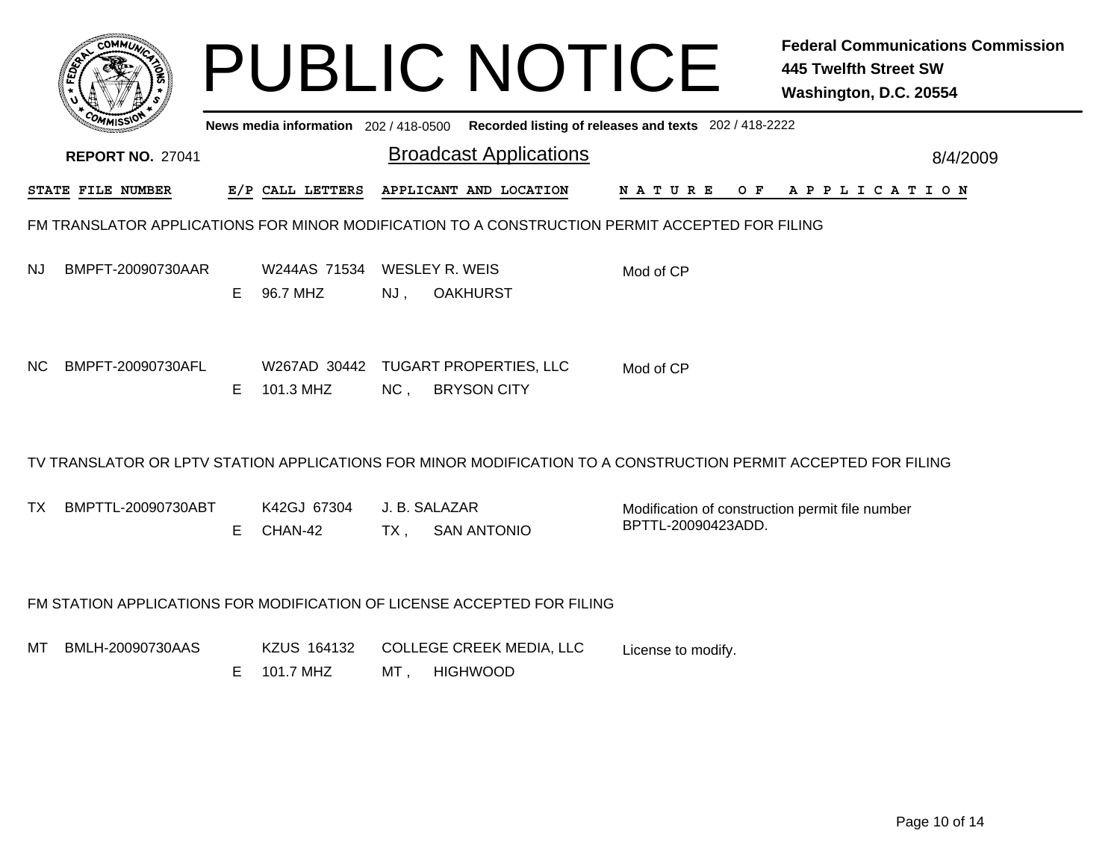|     | COMMUA                                                                                         |    | <b>PUBLIC NOTICE</b>                             |      |                                                    |  |                                                                                             |     | <b>Federal Communications Commission</b><br><b>445 Twelfth Street SW</b><br>Washington, D.C. 20554             |  |  |  |
|-----|------------------------------------------------------------------------------------------------|----|--------------------------------------------------|------|----------------------------------------------------|--|---------------------------------------------------------------------------------------------|-----|----------------------------------------------------------------------------------------------------------------|--|--|--|
|     |                                                                                                |    |                                                  |      |                                                    |  | News media information 202 / 418-0500 Recorded listing of releases and texts 202 / 418-2222 |     |                                                                                                                |  |  |  |
|     | <b>REPORT NO. 27041</b>                                                                        |    |                                                  |      | <b>Broadcast Applications</b>                      |  |                                                                                             |     | 8/4/2009                                                                                                       |  |  |  |
|     | STATE FILE NUMBER                                                                              |    | E/P CALL LETTERS                                 |      | APPLICANT AND LOCATION                             |  | N A T U R E                                                                                 | O F | A P P L I C A T I O N                                                                                          |  |  |  |
|     | FM TRANSLATOR APPLICATIONS FOR MINOR MODIFICATION TO A CONSTRUCTION PERMIT ACCEPTED FOR FILING |    |                                                  |      |                                                    |  |                                                                                             |     |                                                                                                                |  |  |  |
| NJ  | BMPFT-20090730AAR                                                                              | E. | W244AS 71534<br>96.7 MHZ                         | NJ,  | WESLEY R. WEIS<br><b>OAKHURST</b>                  |  | Mod of CP                                                                                   |     |                                                                                                                |  |  |  |
| NC. | BMPFT-20090730AFL                                                                              | E. | W267AD 30442 TUGART PROPERTIES, LLC<br>101.3 MHZ | NC,  | <b>BRYSON CITY</b>                                 |  | Mod of CP                                                                                   |     |                                                                                                                |  |  |  |
|     |                                                                                                |    |                                                  |      |                                                    |  |                                                                                             |     | TV TRANSLATOR OR LPTV STATION APPLICATIONS FOR MINOR MODIFICATION TO A CONSTRUCTION PERMIT ACCEPTED FOR FILING |  |  |  |
| ТX  | BMPTTL-20090730ABT                                                                             | E. | K42GJ 67304<br>CHAN-42                           | TX , | J. B. SALAZAR<br><b>SAN ANTONIO</b>                |  | BPTTL-20090423ADD.                                                                          |     | Modification of construction permit file number                                                                |  |  |  |
|     | FM STATION APPLICATIONS FOR MODIFICATION OF LICENSE ACCEPTED FOR FILING                        |    |                                                  |      |                                                    |  |                                                                                             |     |                                                                                                                |  |  |  |
| MT  | BMLH-20090730AAS                                                                               | E. | KZUS 164132<br>101.7 MHZ                         | MT,  | <b>COLLEGE CREEK MEDIA, LLC</b><br><b>HIGHWOOD</b> |  | License to modify.                                                                          |     |                                                                                                                |  |  |  |
|     |                                                                                                |    |                                                  |      |                                                    |  |                                                                                             |     |                                                                                                                |  |  |  |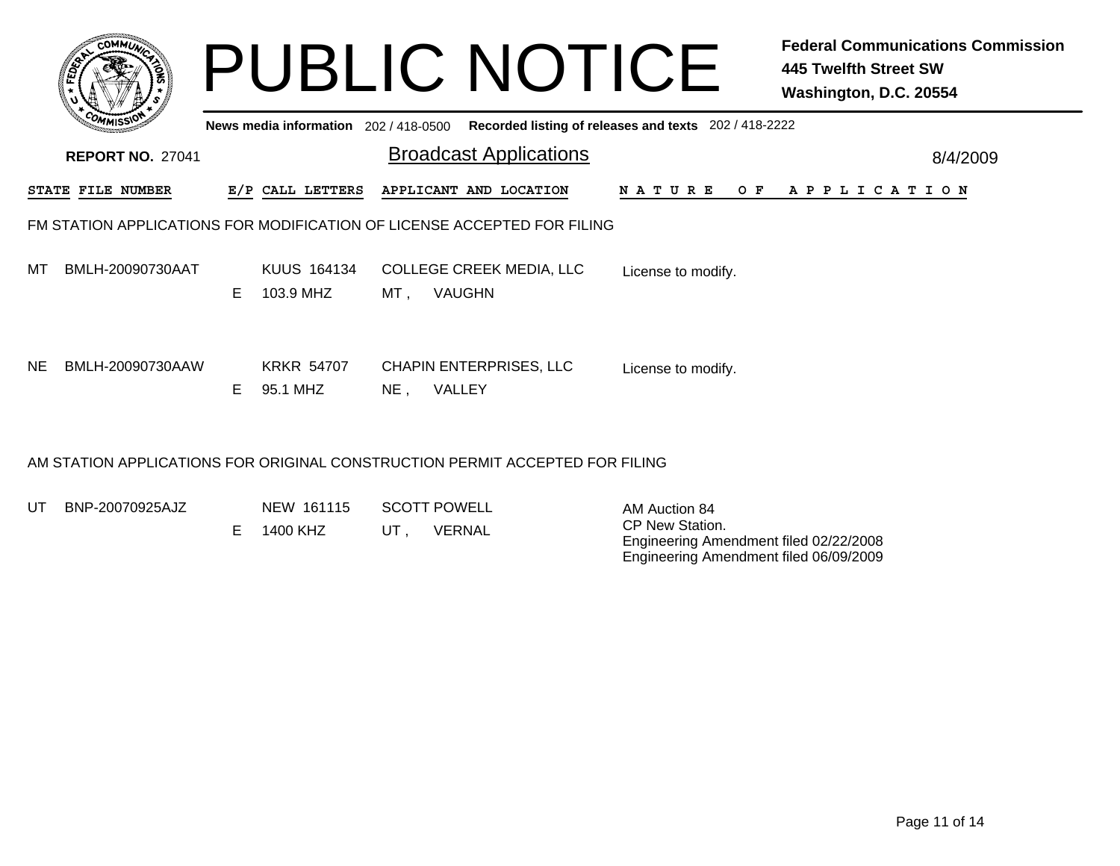|                                                                              | <b>COMMUT</b>           |    | News media information 202 / 418-0500 |        | <b>PUBLIC NOTICE</b>                                                    | Recorded listing of releases and texts 202 / 418-2222 | <b>Federal Communications Commission</b><br>445 Twelfth Street SW<br>Washington, D.C. 20554 |  |
|------------------------------------------------------------------------------|-------------------------|----|---------------------------------------|--------|-------------------------------------------------------------------------|-------------------------------------------------------|---------------------------------------------------------------------------------------------|--|
|                                                                              | <b>REPORT NO. 27041</b> |    |                                       |        | <b>Broadcast Applications</b>                                           |                                                       | 8/4/2009                                                                                    |  |
|                                                                              | STATE FILE NUMBER       |    | E/P CALL LETTERS                      |        | APPLICANT AND LOCATION                                                  | N A T U R E<br>O F                                    | A P P L I C A T I O N                                                                       |  |
|                                                                              |                         |    |                                       |        | FM STATION APPLICATIONS FOR MODIFICATION OF LICENSE ACCEPTED FOR FILING |                                                       |                                                                                             |  |
| МT                                                                           | BMLH-20090730AAT        | F. | KUUS 164134<br>103.9 MHZ              | MT .   | <b>COLLEGE CREEK MEDIA, LLC</b><br><b>VAUGHN</b>                        | License to modify.                                    |                                                                                             |  |
| <b>NE</b>                                                                    | BMLH-20090730AAW        | E. | <b>KRKR 54707</b><br>95.1 MHZ         | $NE$ , | <b>CHAPIN ENTERPRISES, LLC</b><br>VALLEY                                | License to modify.                                    |                                                                                             |  |
| AM STATION APPLICATIONS FOR ORIGINAL CONSTRUCTION PERMIT ACCEPTED FOR FILING |                         |    |                                       |        |                                                                         |                                                       |                                                                                             |  |

- 
- UT NEW 161115 SCOTT POWELL BNP-20070925AJZ
	- UT , VERNAL E 1400 KHZ

AM Auction 84 CP New Station. Engineering Amendment filed 02/22/2008 Engineering Amendment filed 06/09/2009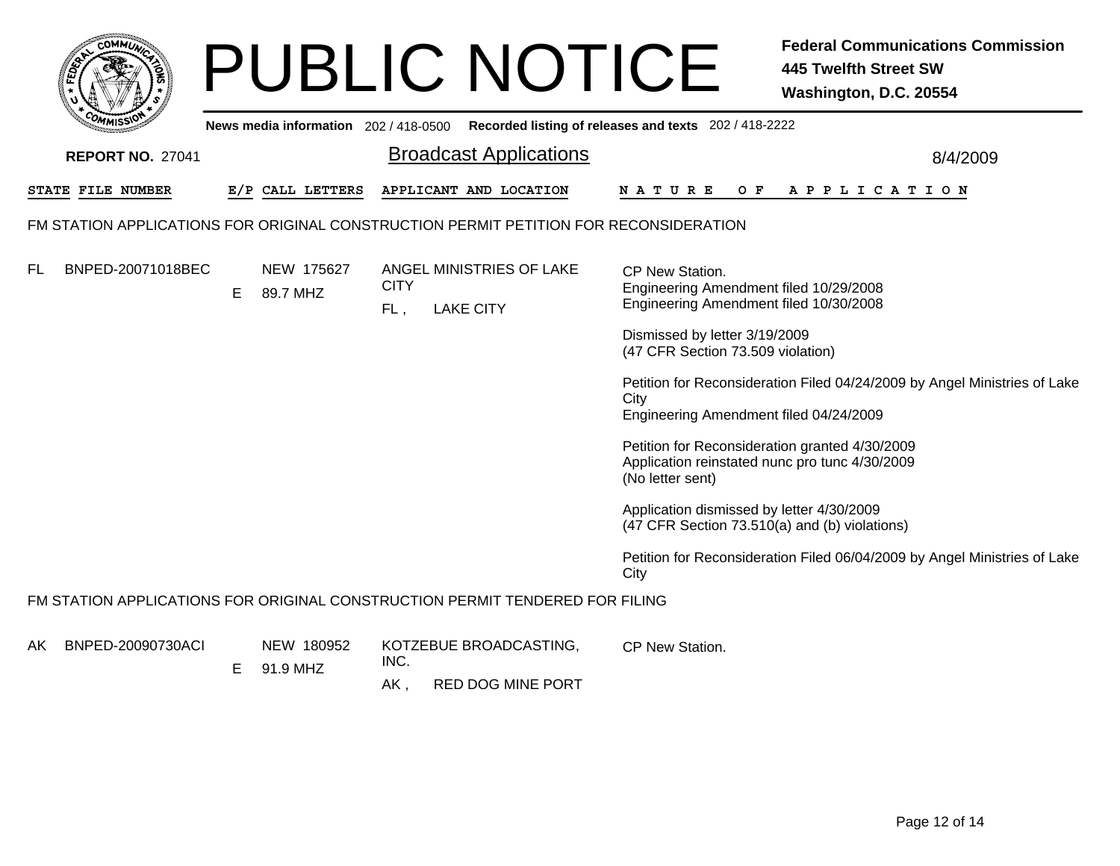| ϲΟΜΜ $\iota_{\lambda}$         |    |                                     | <b>PUBLIC NOTICE</b>                                                                  | <b>Federal Communications Commission</b><br><b>445 Twelfth Street SW</b><br>Washington, D.C. 20554                                                                                                                                                                                                                                                                                                                                                                                                                                                                                                          |  |  |
|--------------------------------|----|-------------------------------------|---------------------------------------------------------------------------------------|-------------------------------------------------------------------------------------------------------------------------------------------------------------------------------------------------------------------------------------------------------------------------------------------------------------------------------------------------------------------------------------------------------------------------------------------------------------------------------------------------------------------------------------------------------------------------------------------------------------|--|--|
|                                |    | News media information 202/418-0500 |                                                                                       | Recorded listing of releases and texts 202 / 418-2222                                                                                                                                                                                                                                                                                                                                                                                                                                                                                                                                                       |  |  |
| <b>REPORT NO. 27041</b>        |    | <b>Broadcast Applications</b>       | 8/4/2009                                                                              |                                                                                                                                                                                                                                                                                                                                                                                                                                                                                                                                                                                                             |  |  |
| STATE FILE NUMBER              |    | E/P CALL LETTERS                    | APPLICANT AND LOCATION                                                                | NATURE OF APPLICATION                                                                                                                                                                                                                                                                                                                                                                                                                                                                                                                                                                                       |  |  |
|                                |    |                                     | FM STATION APPLICATIONS FOR ORIGINAL CONSTRUCTION PERMIT PETITION FOR RECONSIDERATION |                                                                                                                                                                                                                                                                                                                                                                                                                                                                                                                                                                                                             |  |  |
| <b>FL</b><br>BNPED-20071018BEC | E. | NEW 175627<br>89.7 MHZ              | ANGEL MINISTRIES OF LAKE<br><b>CITY</b><br><b>LAKE CITY</b><br>FL,                    | CP New Station.<br>Engineering Amendment filed 10/29/2008<br>Engineering Amendment filed 10/30/2008<br>Dismissed by letter 3/19/2009<br>(47 CFR Section 73.509 violation)<br>Petition for Reconsideration Filed 04/24/2009 by Angel Ministries of Lake<br>City<br>Engineering Amendment filed 04/24/2009<br>Petition for Reconsideration granted 4/30/2009<br>Application reinstated nunc pro tunc 4/30/2009<br>(No letter sent)<br>Application dismissed by letter 4/30/2009<br>(47 CFR Section 73.510(a) and (b) violations)<br>Petition for Reconsideration Filed 06/04/2009 by Angel Ministries of Lake |  |  |
|                                |    |                                     |                                                                                       | City                                                                                                                                                                                                                                                                                                                                                                                                                                                                                                                                                                                                        |  |  |
|                                |    |                                     | FM STATION APPLICATIONS FOR ORIGINAL CONSTRUCTION PERMIT TENDERED FOR FILING          |                                                                                                                                                                                                                                                                                                                                                                                                                                                                                                                                                                                                             |  |  |
| BNPED-20090730ACI<br>AK.       | Е  | NEW 180952<br>91.9 MHZ              | KOTZEBUE BROADCASTING,<br>INC.                                                        | CP New Station.                                                                                                                                                                                                                                                                                                                                                                                                                                                                                                                                                                                             |  |  |

AK, , RED DOG MINE PORT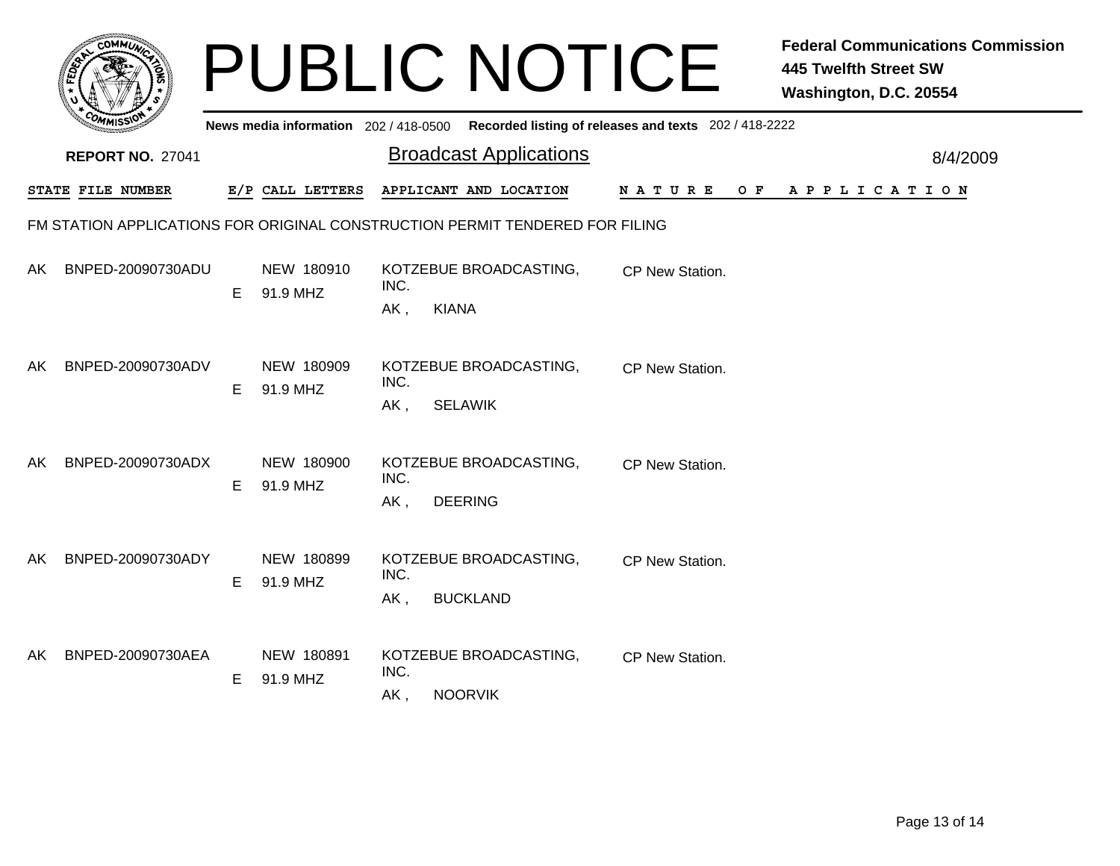|                                                                              |                         |    |                                     |                                                            | <b>PUBLIC NOTICE</b> | <b>Federal Communications Commission</b><br><b>445 Twelfth Street SW</b><br>Washington, D.C. 20554 |  |
|------------------------------------------------------------------------------|-------------------------|----|-------------------------------------|------------------------------------------------------------|----------------------|----------------------------------------------------------------------------------------------------|--|
|                                                                              |                         |    | News media information 202/418-0500 | Recorded listing of releases and texts 202 / 418-2222      |                      |                                                                                                    |  |
|                                                                              | <b>REPORT NO. 27041</b> |    |                                     | <b>Broadcast Applications</b>                              |                      | 8/4/2009                                                                                           |  |
|                                                                              | STATE FILE NUMBER       |    | E/P CALL LETTERS                    | APPLICANT AND LOCATION                                     | N A T U R E          | APPLICATION<br>O F                                                                                 |  |
| FM STATION APPLICATIONS FOR ORIGINAL CONSTRUCTION PERMIT TENDERED FOR FILING |                         |    |                                     |                                                            |                      |                                                                                                    |  |
| AK.                                                                          | BNPED-20090730ADU       | Е  | NEW 180910<br>91.9 MHZ              | KOTZEBUE BROADCASTING,<br>INC.<br><b>KIANA</b><br>$AK$ ,   | CP New Station.      |                                                                                                    |  |
| AK.                                                                          | BNPED-20090730ADV       | E  | NEW 180909<br>91.9 MHZ              | KOTZEBUE BROADCASTING,<br>INC.<br><b>SELAWIK</b><br>$AK$ , | CP New Station.      |                                                                                                    |  |
| AK.                                                                          | BNPED-20090730ADX       | E. | NEW 180900<br>91.9 MHZ              | KOTZEBUE BROADCASTING,<br>INC.<br><b>DEERING</b><br>AK,    | CP New Station.      |                                                                                                    |  |
| AK.                                                                          | BNPED-20090730ADY       | E  | NEW 180899<br>91.9 MHZ              | KOTZEBUE BROADCASTING,<br>INC.<br><b>BUCKLAND</b><br>AK,   | CP New Station.      |                                                                                                    |  |
| AK.                                                                          | BNPED-20090730AEA       | Е  | NEW 180891<br>91.9 MHZ              | KOTZEBUE BROADCASTING,<br>INC.<br><b>NOORVIK</b><br>AK,    | CP New Station.      |                                                                                                    |  |